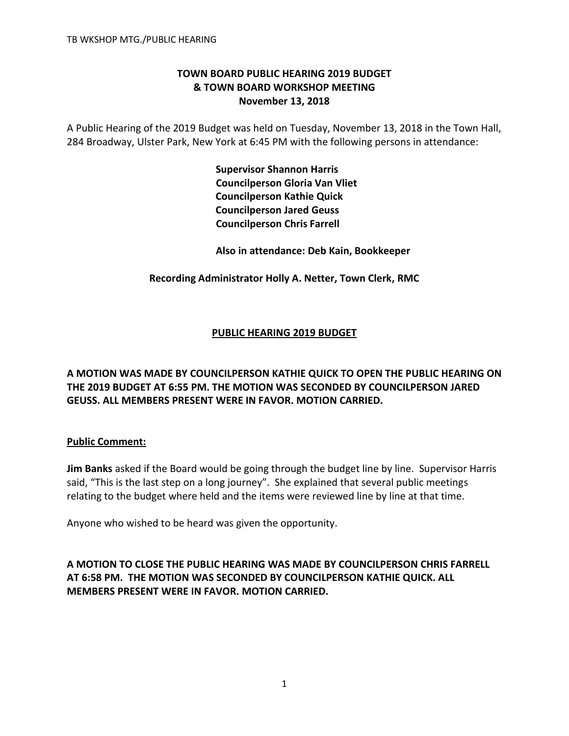# **TOWN BOARD PUBLIC HEARING 2019 BUDGET & TOWN BOARD WORKSHOP MEETING November 13, 2018**

A Public Hearing of the 2019 Budget was held on Tuesday, November 13, 2018 in the Town Hall, 284 Broadway, Ulster Park, New York at 6:45 PM with the following persons in attendance:

> **Supervisor Shannon Harris Councilperson Gloria Van Vliet Councilperson Kathie Quick Councilperson Jared Geuss Councilperson Chris Farrell**

 **Also in attendance: Deb Kain, Bookkeeper**

**Recording Administrator Holly A. Netter, Town Clerk, RMC**

# **PUBLIC HEARING 2019 BUDGET**

**A MOTION WAS MADE BY COUNCILPERSON KATHIE QUICK TO OPEN THE PUBLIC HEARING ON THE 2019 BUDGET AT 6:55 PM. THE MOTION WAS SECONDED BY COUNCILPERSON JARED GEUSS. ALL MEMBERS PRESENT WERE IN FAVOR. MOTION CARRIED.**

## **Public Comment:**

**Jim Banks** asked if the Board would be going through the budget line by line. Supervisor Harris said, "This is the last step on a long journey". She explained that several public meetings relating to the budget where held and the items were reviewed line by line at that time.

Anyone who wished to be heard was given the opportunity.

**A MOTION TO CLOSE THE PUBLIC HEARING WAS MADE BY COUNCILPERSON CHRIS FARRELL AT 6:58 PM. THE MOTION WAS SECONDED BY COUNCILPERSON KATHIE QUICK. ALL MEMBERS PRESENT WERE IN FAVOR. MOTION CARRIED.**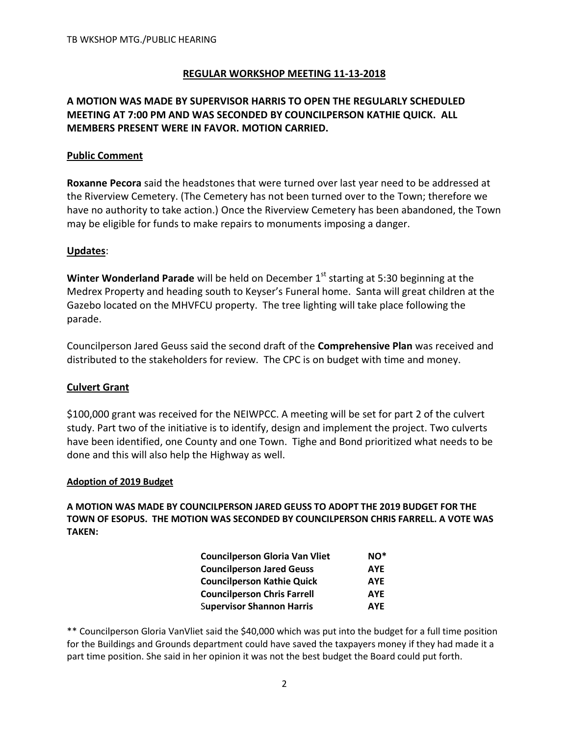## **REGULAR WORKSHOP MEETING 11-13-2018**

## **A MOTION WAS MADE BY SUPERVISOR HARRIS TO OPEN THE REGULARLY SCHEDULED MEETING AT 7:00 PM AND WAS SECONDED BY COUNCILPERSON KATHIE QUICK. ALL MEMBERS PRESENT WERE IN FAVOR. MOTION CARRIED.**

## **Public Comment**

**Roxanne Pecora** said the headstones that were turned over last year need to be addressed at the Riverview Cemetery. (The Cemetery has not been turned over to the Town; therefore we have no authority to take action.) Once the Riverview Cemetery has been abandoned, the Town may be eligible for funds to make repairs to monuments imposing a danger.

## **Updates**:

**Winter Wonderland Parade** will be held on December 1<sup>st</sup> starting at 5:30 beginning at the Medrex Property and heading south to Keyser's Funeral home. Santa will great children at the Gazebo located on the MHVFCU property. The tree lighting will take place following the parade.

Councilperson Jared Geuss said the second draft of the **Comprehensive Plan** was received and distributed to the stakeholders for review. The CPC is on budget with time and money.

## **Culvert Grant**

\$100,000 grant was received for the NEIWPCC. A meeting will be set for part 2 of the culvert study. Part two of the initiative is to identify, design and implement the project. Two culverts have been identified, one County and one Town. Tighe and Bond prioritized what needs to be done and this will also help the Highway as well.

### **Adoption of 2019 Budget**

**A MOTION WAS MADE BY COUNCILPERSON JARED GEUSS TO ADOPT THE 2019 BUDGET FOR THE TOWN OF ESOPUS. THE MOTION WAS SECONDED BY COUNCILPERSON CHRIS FARRELL. A VOTE WAS TAKEN:**

| <b>Councilperson Gloria Van Vliet</b> | $NO*$      |
|---------------------------------------|------------|
| <b>Councilperson Jared Geuss</b>      | <b>AYE</b> |
| <b>Councilperson Kathie Quick</b>     | <b>AYE</b> |
| <b>Councilperson Chris Farrell</b>    | <b>AYE</b> |
| <b>Supervisor Shannon Harris</b>      | <b>AYE</b> |

\*\* Councilperson Gloria VanVliet said the \$40,000 which was put into the budget for a full time position for the Buildings and Grounds department could have saved the taxpayers money if they had made it a part time position. She said in her opinion it was not the best budget the Board could put forth.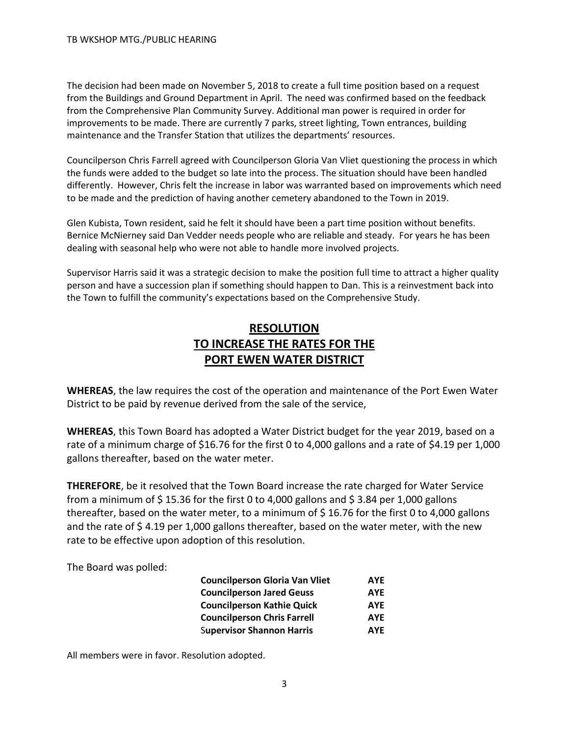The decision had been made on November 5, 2018 to create a full time position based on a request from the Buildings and Ground Department in April. The need was confirmed based on the feedback from the Comprehensive Plan Community Survey. Additional man power is required in order for improvements to be made. There are currently 7 parks, street lighting, Town entrances, building maintenance and the Transfer Station that utilizes the departments' resources.

Councilperson Chris Farrell agreed with Councilperson Gloria Van Vliet questioning the process in which the funds were added to the budget so late into the process. The situation should have been handled differently. However, Chris felt the increase in labor was warranted based on improvements which need to be made and the prediction of having another cemetery abandoned to the Town in 2019.

Glen Kubista, Town resident, said he felt it should have been a part time position without benefits. Bernice McNierney said Dan Vedder needs people who are reliable and steady. For years he has been dealing with seasonal help who were not able to handle more involved projects.

Supervisor Harris said it was a strategic decision to make the position full time to attract a higher quality person and have a succession plan if something should happen to Dan. This is a reinvestment back into the Town to fulfill the community's expectations based on the Comprehensive Study.

# **RESOLUTION TO INCREASE THE RATES FOR THE PORT EWEN WATER DISTRICT**

**WHEREAS**, the law requires the cost of the operation and maintenance of the Port Ewen Water District to be paid by revenue derived from the sale of the service,

**WHEREAS**, this Town Board has adopted a Water District budget for the year 2019, based on a rate of a minimum charge of \$16.76 for the first 0 to 4,000 gallons and a rate of \$4.19 per 1,000 gallons thereafter, based on the water meter.

**THEREFORE**, be it resolved that the Town Board increase the rate charged for Water Service from a minimum of \$15.36 for the first 0 to 4,000 gallons and \$3.84 per 1,000 gallons thereafter, based on the water meter, to a minimum of \$ 16.76 for the first 0 to 4,000 gallons and the rate of  $\frac{2}{3}$  4.19 per 1,000 gallons thereafter, based on the water meter, with the new rate to be effective upon adoption of this resolution.

The Board was polled:

| <b>Councilperson Gloria Van Vliet</b> | <b>AYE</b> |
|---------------------------------------|------------|
| <b>Councilperson Jared Geuss</b>      | <b>AYE</b> |
| <b>Councilperson Kathie Quick</b>     | <b>AYE</b> |
| <b>Councilperson Chris Farrell</b>    | <b>AYE</b> |
| <b>Supervisor Shannon Harris</b>      | <b>AYE</b> |

All members were in favor. Resolution adopted.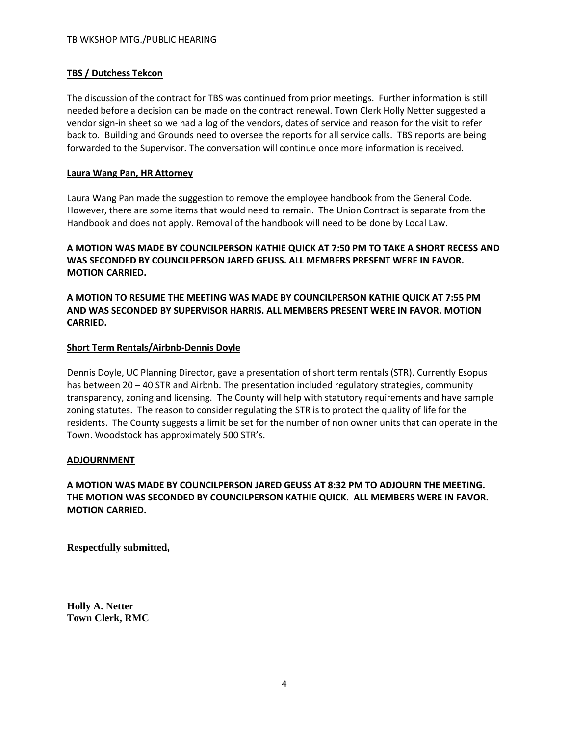### **TBS / Dutchess Tekcon**

The discussion of the contract for TBS was continued from prior meetings. Further information is still needed before a decision can be made on the contract renewal. Town Clerk Holly Netter suggested a vendor sign-in sheet so we had a log of the vendors, dates of service and reason for the visit to refer back to. Building and Grounds need to oversee the reports for all service calls. TBS reports are being forwarded to the Supervisor. The conversation will continue once more information is received.

### **Laura Wang Pan, HR Attorney**

Laura Wang Pan made the suggestion to remove the employee handbook from the General Code. However, there are some items that would need to remain. The Union Contract is separate from the Handbook and does not apply. Removal of the handbook will need to be done by Local Law.

### **A MOTION WAS MADE BY COUNCILPERSON KATHIE QUICK AT 7:50 PM TO TAKE A SHORT RECESS AND WAS SECONDED BY COUNCILPERSON JARED GEUSS. ALL MEMBERS PRESENT WERE IN FAVOR. MOTION CARRIED.**

**A MOTION TO RESUME THE MEETING WAS MADE BY COUNCILPERSON KATHIE QUICK AT 7:55 PM AND WAS SECONDED BY SUPERVISOR HARRIS. ALL MEMBERS PRESENT WERE IN FAVOR. MOTION CARRIED.** 

### **Short Term Rentals/Airbnb-Dennis Doyle**

Dennis Doyle, UC Planning Director, gave a presentation of short term rentals (STR). Currently Esopus has between 20 – 40 STR and Airbnb. The presentation included regulatory strategies, community transparency, zoning and licensing. The County will help with statutory requirements and have sample zoning statutes. The reason to consider regulating the STR is to protect the quality of life for the residents. The County suggests a limit be set for the number of non owner units that can operate in the Town. Woodstock has approximately 500 STR's.

### **ADJOURNMENT**

## **A MOTION WAS MADE BY COUNCILPERSON JARED GEUSS AT 8:32 PM TO ADJOURN THE MEETING. THE MOTION WAS SECONDED BY COUNCILPERSON KATHIE QUICK. ALL MEMBERS WERE IN FAVOR. MOTION CARRIED.**

**Respectfully submitted,**

**Holly A. Netter Town Clerk, RMC**